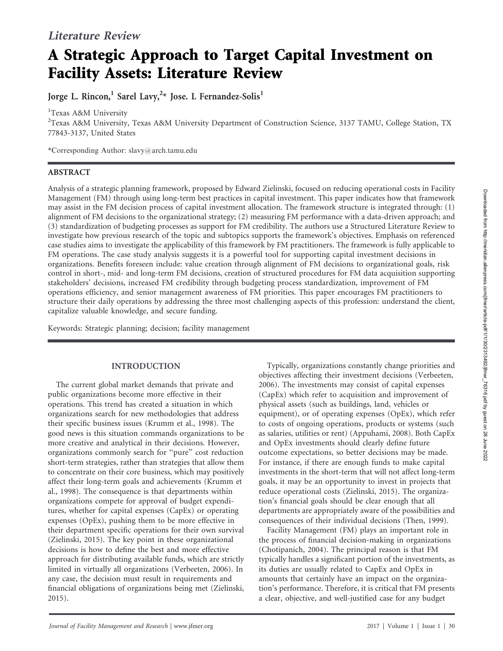# A Strategic Approach to Target Capital Investment on Facility Assets: Literature Review

Jorge L. Rincon, $^1$  Sarel Lavy, $^{2\star}$  Jose. L Fernandez-Solis $^1$ 

<sup>1</sup>Texas A&M University

<sup>2</sup>Texas A&M University, Texas A&M University Department of Construction Science, 3137 TAMU, College Station, TX 77843-3137, United States

\*Corresponding Author: slavy@arch.tamu.edu

## ABSTRACT

Analysis of a strategic planning framework, proposed by Edward Zielinski, focused on reducing operational costs in Facility Management (FM) through using long-term best practices in capital investment. This paper indicates how that framework may assist in the FM decision process of capital investment allocation. The framework structure is integrated through: (1) alignment of FM decisions to the organizational strategy; (2) measuring FM performance with a data-driven approach; and (3) standardization of budgeting processes as support for FM credibility. The authors use a Structured Literature Review to investigate how previous research of the topic and subtopics supports the framework's objectives. Emphasis on referenced case studies aims to investigate the applicability of this framework by FM practitioners. The framework is fully applicable to FM operations. The case study analysis suggests it is a powerful tool for supporting capital investment decisions in organizations. Benefits foreseen include: value creation through alignment of FM decisions to organizational goals, risk control in short-, mid- and long-term FM decisions, creation of structured procedures for FM data acquisition supporting stakeholders' decisions, increased FM credibility through budgeting process standardization, improvement of FM operations efficiency, and senior management awareness of FM priorities. This paper encourages FM practitioners to structure their daily operations by addressing the three most challenging aspects of this profession: understand the client, capitalize valuable knowledge, and secure funding.

Keywords: Strategic planning; decision; facility management

# INTRODUCTION

The current global market demands that private and public organizations become more effective in their operations. This trend has created a situation in which organizations search for new methodologies that address their specific business issues (Krumm et al., 1998). The good news is this situation commands organizations to be more creative and analytical in their decisions. However, organizations commonly search for ''pure'' cost reduction short-term strategies, rather than strategies that allow them to concentrate on their core business, which may positively affect their long-term goals and achievements (Krumm et al., 1998). The consequence is that departments within organizations compete for approval of budget expenditures, whether for capital expenses (CapEx) or operating expenses (OpEx), pushing them to be more effective in their department specific operations for their own survival (Zielinski, 2015). The key point in these organizational decisions is how to define the best and more effective approach for distributing available funds, which are strictly limited in virtually all organizations (Verbeeten, 2006). In any case, the decision must result in requirements and financial obligations of organizations being met (Zielinski, 2015).

Typically, organizations constantly change priorities and objectives affecting their investment decisions (Verbeeten, 2006). The investments may consist of capital expenses (CapEx) which refer to acquisition and improvement of physical assets (such as buildings, land, vehicles or equipment), or of operating expenses (OpEx), which refer to costs of ongoing operations, products or systems (such as salaries, utilities or rent) (Appuhami, 2008). Both CapEx and OpEx investments should clearly define future outcome expectations, so better decisions may be made. For instance, if there are enough funds to make capital investments in the short-term that will not affect long-term goals, it may be an opportunity to invest in projects that reduce operational costs (Zielinski, 2015). The organization's financial goals should be clear enough that all departments are appropriately aware of the possibilities and consequences of their individual decisions (Then, 1999).

Facility Management (FM) plays an important role in the process of financial decision-making in organizations (Chotipanich, 2004). The principal reason is that FM typically handles a significant portion of the investments, as its duties are usually related to CapEx and OpEx in amounts that certainly have an impact on the organization's performance. Therefore, it is critical that FM presents a clear, objective, and well-justified case for any budget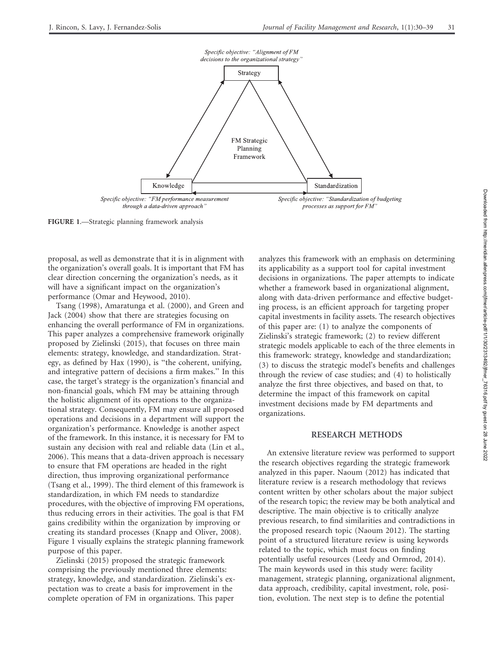

FIGURE 1.—Strategic planning framework analysis

proposal, as well as demonstrate that it is in alignment with the organization's overall goals. It is important that FM has clear direction concerning the organization's needs, as it will have a significant impact on the organization's performance (Omar and Heywood, 2010).

Tsang (1998), Amaratunga et al. (2000), and Green and Jack (2004) show that there are strategies focusing on enhancing the overall performance of FM in organizations. This paper analyzes a comprehensive framework originally proposed by Zielinski (2015), that focuses on three main elements: strategy, knowledge, and standardization. Strategy, as defined by Hax (1990), is ''the coherent, unifying, and integrative pattern of decisions a firm makes.'' In this case, the target's strategy is the organization's financial and non-financial goals, which FM may be attaining through the holistic alignment of its operations to the organizational strategy. Consequently, FM may ensure all proposed operations and decisions in a department will support the organization's performance. Knowledge is another aspect of the framework. In this instance, it is necessary for FM to sustain any decision with real and reliable data (Lin et al., 2006). This means that a data-driven approach is necessary to ensure that FM operations are headed in the right direction, thus improving organizational performance (Tsang et al., 1999). The third element of this framework is standardization, in which FM needs to standardize procedures, with the objective of improving FM operations, thus reducing errors in their activities. The goal is that FM gains credibility within the organization by improving or creating its standard processes (Knapp and Oliver, 2008). Figure 1 visually explains the strategic planning framework purpose of this paper.

Zielinski (2015) proposed the strategic framework comprising the previously mentioned three elements: strategy, knowledge, and standardization. Zielinski's expectation was to create a basis for improvement in the complete operation of FM in organizations. This paper

analyzes this framework with an emphasis on determining its applicability as a support tool for capital investment decisions in organizations. The paper attempts to indicate whether a framework based in organizational alignment, along with data-driven performance and effective budgeting process, is an efficient approach for targeting proper capital investments in facility assets. The research objectives of this paper are: (1) to analyze the components of Zielinski's strategic framework; (2) to review different strategic models applicable to each of the three elements in this framework: strategy, knowledge and standardization; (3) to discuss the strategic model's benefits and challenges through the review of case studies; and (4) to holistically analyze the first three objectives, and based on that, to determine the impact of this framework on capital investment decisions made by FM departments and organizations.

## RESEARCH METHODS

An extensive literature review was performed to support the research objectives regarding the strategic framework analyzed in this paper. Naoum (2012) has indicated that literature review is a research methodology that reviews content written by other scholars about the major subject of the research topic; the review may be both analytical and descriptive. The main objective is to critically analyze previous research, to find similarities and contradictions in the proposed research topic (Naoum 2012). The starting point of a structured literature review is using keywords related to the topic, which must focus on finding potentially useful resources (Leedy and Ormrod, 2014). The main keywords used in this study were: facility management, strategic planning, organizational alignment, data approach, credibility, capital investment, role, position, evolution. The next step is to define the potential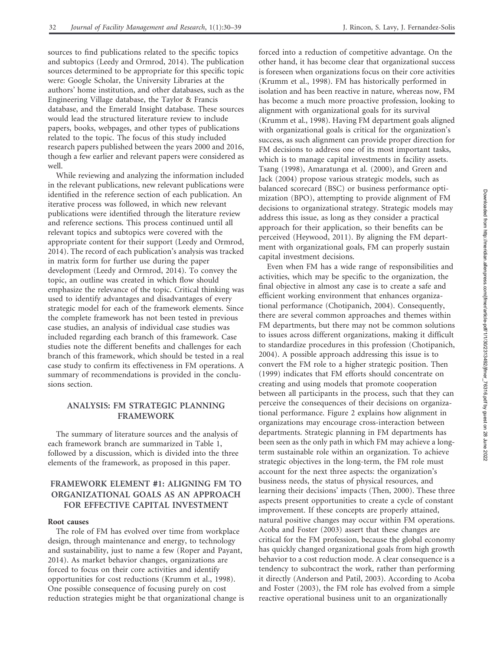sources to find publications related to the specific topics and subtopics (Leedy and Ormrod, 2014). The publication sources determined to be appropriate for this specific topic were: Google Scholar, the University Libraries at the authors' home institution, and other databases, such as the Engineering Village database, the Taylor & Francis database, and the Emerald Insight database. These sources would lead the structured literature review to include papers, books, webpages, and other types of publications related to the topic. The focus of this study included research papers published between the years 2000 and 2016, though a few earlier and relevant papers were considered as well.

While reviewing and analyzing the information included in the relevant publications, new relevant publications were identified in the reference section of each publication. An iterative process was followed, in which new relevant publications were identified through the literature review and reference sections. This process continued until all relevant topics and subtopics were covered with the appropriate content for their support (Leedy and Ormrod, 2014). The record of each publication's analysis was tracked in matrix form for further use during the paper development (Leedy and Ormrod, 2014). To convey the topic, an outline was created in which flow should emphasize the relevance of the topic. Critical thinking was used to identify advantages and disadvantages of every strategic model for each of the framework elements. Since the complete framework has not been tested in previous case studies, an analysis of individual case studies was included regarding each branch of this framework. Case studies note the different benefits and challenges for each branch of this framework, which should be tested in a real case study to confirm its effectiveness in FM operations. A summary of recommendations is provided in the conclusions section.

## ANALYSIS: FM STRATEGIC PLANNING FRAMEWORK

The summary of literature sources and the analysis of each framework branch are summarized in Table 1, followed by a discussion, which is divided into the three elements of the framework, as proposed in this paper.

## FRAMEWORK ELEMENT #1: ALIGNING FM TO ORGANIZATIONAL GOALS AS AN APPROACH FOR EFFECTIVE CAPITAL INVESTMENT

## Root causes

The role of FM has evolved over time from workplace design, through maintenance and energy, to technology and sustainability, just to name a few (Roper and Payant, 2014). As market behavior changes, organizations are forced to focus on their core activities and identify opportunities for cost reductions (Krumm et al., 1998). One possible consequence of focusing purely on cost reduction strategies might be that organizational change is forced into a reduction of competitive advantage. On the other hand, it has become clear that organizational success is foreseen when organizations focus on their core activities (Krumm et al., 1998). FM has historically performed in isolation and has been reactive in nature, whereas now, FM has become a much more proactive profession, looking to alignment with organizational goals for its survival (Krumm et al., 1998). Having FM department goals aligned with organizational goals is critical for the organization's success, as such alignment can provide proper direction for FM decisions to address one of its most important tasks, which is to manage capital investments in facility assets. Tsang (1998), Amaratunga et al. (2000), and Green and Jack (2004) propose various strategic models, such as balanced scorecard (BSC) or business performance optimization (BPO), attempting to provide alignment of FM decisions to organizational strategy. Strategic models may address this issue, as long as they consider a practical approach for their application, so their benefits can be perceived (Heywood, 2011). By aligning the FM department with organizational goals, FM can properly sustain capital investment decisions.

Even when FM has a wide range of responsibilities and activities, which may be specific to the organization, the final objective in almost any case is to create a safe and efficient working environment that enhances organizational performance (Chotipanich, 2004). Consequently, there are several common approaches and themes within FM departments, but there may not be common solutions to issues across different organizations, making it difficult to standardize procedures in this profession (Chotipanich, 2004). A possible approach addressing this issue is to convert the FM role to a higher strategic position. Then (1999) indicates that FM efforts should concentrate on creating and using models that promote cooperation between all participants in the process, such that they can perceive the consequences of their decisions on organizational performance. Figure 2 explains how alignment in organizations may encourage cross-interaction between departments. Strategic planning in FM departments has been seen as the only path in which FM may achieve a longterm sustainable role within an organization. To achieve strategic objectives in the long-term, the FM role must account for the next three aspects: the organization's business needs, the status of physical resources, and learning their decisions' impacts (Then, 2000). These three aspects present opportunities to create a cycle of constant improvement. If these concepts are properly attained, natural positive changes may occur within FM operations. Acoba and Foster (2003) assert that these changes are critical for the FM profession, because the global economy has quickly changed organizational goals from high growth behavior to a cost reduction mode. A clear consequence is a tendency to subcontract the work, rather than performing it directly (Anderson and Patil, 2003). According to Acoba and Foster (2003), the FM role has evolved from a simple reactive operational business unit to an organizationally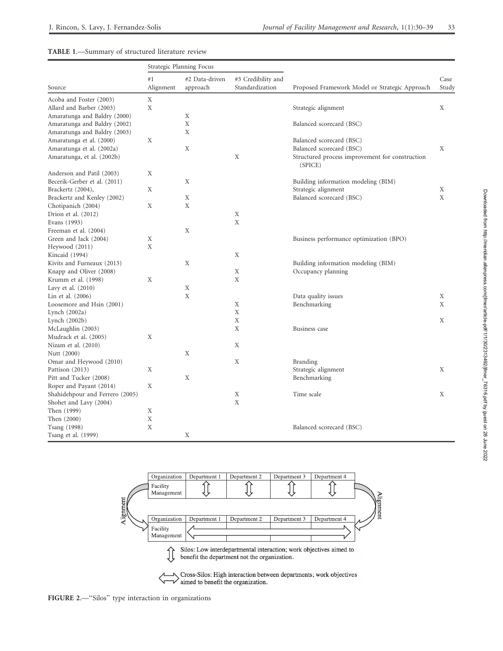## TABLE 1.—Summary of structured literature review

| Source                                         | Strategic Planning Focus |                            |                                       |                                                            |               |
|------------------------------------------------|--------------------------|----------------------------|---------------------------------------|------------------------------------------------------------|---------------|
|                                                | #1<br>Alignment          | #2 Data-driven<br>approach | #3 Credibility and<br>Standardization | Proposed Framework Model or Strategic Approach             | Case<br>Study |
| Acoba and Foster (2003)                        | X                        |                            |                                       |                                                            |               |
| Allard and Barber (2003)                       | X                        |                            |                                       | Strategic alignment                                        | X             |
| Amaratunga and Baldry (2000)                   |                          | Χ                          |                                       |                                                            |               |
| Amaratunga and Baldry (2002)                   |                          | X                          |                                       | Balanced scorecard (BSC)                                   |               |
| Amaratunga and Baldry (2003)                   |                          | X                          |                                       |                                                            |               |
| Amaratunga et al. (2000)                       | X                        |                            |                                       | Balanced scorecard (BSC)                                   |               |
| Amaratunga et al. (2002a)                      |                          | Χ                          |                                       | Balanced scorecard (BSC)                                   | X             |
| Amaratunga, et al. (2002b)                     |                          |                            | X                                     | Structured process improvement for construction<br>(SPICE) |               |
| Anderson and Patil (2003)                      | X                        |                            |                                       |                                                            |               |
| Becerik-Gerber et al. (2011)                   |                          | Χ                          |                                       | Building information modeling (BIM)                        |               |
| Brackertz (2004),                              | Χ                        |                            |                                       | Strategic alignment                                        | X             |
| Brackertz and Kenley (2002)                    |                          | X                          |                                       | Balanced scorecard (BSC)                                   | X             |
| Chotipanich (2004)                             | Χ                        | $\mathbf X$                |                                       |                                                            |               |
| Drion et al. (2012)                            |                          |                            | Χ                                     |                                                            |               |
| Evans (1993)                                   |                          |                            | X                                     |                                                            |               |
| Freeman et al. (2004)                          |                          | X                          |                                       |                                                            |               |
| Green and Jack (2004)                          | Χ                        |                            |                                       | Business performance optimization (BPO)                    |               |
| Heywood (2011)                                 | X                        |                            |                                       |                                                            |               |
| Kincaid (1994)                                 |                          |                            | X                                     |                                                            |               |
| Kivits and Furneaux (2013)                     |                          | X                          |                                       | Building information modeling (BIM)                        |               |
|                                                |                          |                            | Χ                                     | Occupancy planning                                         |               |
| Knapp and Oliver (2008)<br>Krumm et al. (1998) | X                        |                            | X                                     |                                                            |               |
|                                                |                          |                            |                                       |                                                            |               |
| Lavy et al. $(2010)$                           |                          | Χ                          |                                       |                                                            |               |
| Lin et al. (2006)                              |                          | X                          |                                       | Data quality issues                                        | Χ<br>X        |
| Loosemore and Hsin (2001)                      |                          |                            | X                                     | Benchmarking                                               |               |
| Lynch $(2002a)$                                |                          |                            | X                                     |                                                            |               |
| Lynch $(2002b)$                                |                          |                            | X                                     |                                                            | X             |
| McLaughlin (2003)                              |                          |                            | Χ                                     | Business case                                              |               |
| Mudrack et al. (2005)                          | X                        |                            |                                       |                                                            |               |
| Nizam et al. (2010)                            |                          |                            | X                                     |                                                            |               |
| Nutt (2000)                                    |                          | X                          |                                       |                                                            |               |
| Omar and Heywood (2010)                        |                          |                            | X                                     | <b>Branding</b>                                            |               |
| Pattison (2013)                                | X                        |                            |                                       | Strategic alignment                                        | X             |
| Pitt and Tucker (2008)                         |                          | Χ                          |                                       | Benchmarking                                               |               |
| Roper and Payant (2014)                        | Χ                        |                            |                                       |                                                            |               |
| Shahidehpour and Ferrero (2005)                |                          |                            | X                                     | Time scale                                                 | X             |
| Shohet and Lavy (2004)                         |                          |                            | X                                     |                                                            |               |
| Then (1999)                                    | Χ                        |                            |                                       |                                                            |               |
| Then (2000)                                    | X                        |                            |                                       |                                                            |               |
| Tsang (1998)                                   | X                        |                            |                                       | Balanced scorecard (BSC)                                   |               |
| Tsang et al. (1999)                            |                          | Χ                          |                                       |                                                            |               |



FIGURE 2.—''Silos'' type interaction in organizations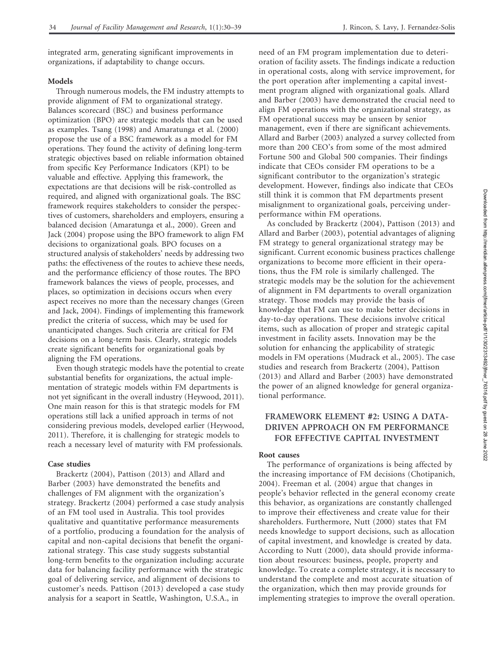integrated arm, generating significant improvements in organizations, if adaptability to change occurs.

### Models

Through numerous models, the FM industry attempts to provide alignment of FM to organizational strategy. Balances scorecard (BSC) and business performance optimization (BPO) are strategic models that can be used as examples. Tsang (1998) and Amaratunga et al. (2000) propose the use of a BSC framework as a model for FM operations. They found the activity of defining long-term strategic objectives based on reliable information obtained from specific Key Performance Indicators (KPI) to be valuable and effective. Applying this framework, the expectations are that decisions will be risk-controlled as required, and aligned with organizational goals. The BSC framework requires stakeholders to consider the perspectives of customers, shareholders and employers, ensuring a balanced decision (Amaratunga et al., 2000). Green and Jack (2004) propose using the BPO framework to align FM decisions to organizational goals. BPO focuses on a structured analysis of stakeholders' needs by addressing two paths: the effectiveness of the routes to achieve these needs, and the performance efficiency of those routes. The BPO framework balances the views of people, processes, and places, so optimization in decisions occurs when every aspect receives no more than the necessary changes (Green and Jack, 2004). Findings of implementing this framework predict the criteria of success, which may be used for unanticipated changes. Such criteria are critical for FM decisions on a long-term basis. Clearly, strategic models create significant benefits for organizational goals by aligning the FM operations.

Even though strategic models have the potential to create substantial benefits for organizations, the actual implementation of strategic models within FM departments is not yet significant in the overall industry (Heywood, 2011). One main reason for this is that strategic models for FM operations still lack a unified approach in terms of not considering previous models, developed earlier (Heywood, 2011). Therefore, it is challenging for strategic models to reach a necessary level of maturity with FM professionals.

#### Case studies

Brackertz (2004), Pattison (2013) and Allard and Barber (2003) have demonstrated the benefits and challenges of FM alignment with the organization's strategy. Brackertz (2004) performed a case study analysis of an FM tool used in Australia. This tool provides qualitative and quantitative performance measurements of a portfolio, producing a foundation for the analysis of capital and non-capital decisions that benefit the organizational strategy. This case study suggests substantial long-term benefits to the organization including: accurate data for balancing facility performance with the strategic goal of delivering service, and alignment of decisions to customer's needs. Pattison (2013) developed a case study analysis for a seaport in Seattle, Washington, U.S.A., in

need of an FM program implementation due to deterioration of facility assets. The findings indicate a reduction in operational costs, along with service improvement, for the port operation after implementing a capital investment program aligned with organizational goals. Allard and Barber (2003) have demonstrated the crucial need to align FM operations with the organizational strategy, as FM operational success may be unseen by senior management, even if there are significant achievements. Allard and Barber (2003) analyzed a survey collected from more than 200 CEO's from some of the most admired Fortune 500 and Global 500 companies. Their findings indicate that CEOs consider FM operations to be a significant contributor to the organization's strategic development. However, findings also indicate that CEOs still think it is common that FM departments present misalignment to organizational goals, perceiving underperformance within FM operations.

As concluded by Brackertz (2004), Pattison (2013) and Allard and Barber (2003), potential advantages of aligning FM strategy to general organizational strategy may be significant. Current economic business practices challenge organizations to become more efficient in their operations, thus the FM role is similarly challenged. The strategic models may be the solution for the achievement of alignment in FM departments to overall organization strategy. Those models may provide the basis of knowledge that FM can use to make better decisions in day-to-day operations. These decisions involve critical items, such as allocation of proper and strategic capital investment in facility assets. Innovation may be the solution for enhancing the applicability of strategic models in FM operations (Mudrack et al., 2005). The case studies and research from Brackertz (2004), Pattison (2013) and Allard and Barber (2003) have demonstrated the power of an aligned knowledge for general organizational performance.

## FRAMEWORK ELEMENT #2: USING A DATA-DRIVEN APPROACH ON FM PERFORMANCE FOR EFFECTIVE CAPITAL INVESTMENT

#### Root causes

The performance of organizations is being affected by the increasing importance of FM decisions (Chotipanich, 2004). Freeman et al. (2004) argue that changes in people's behavior reflected in the general economy create this behavior, as organizations are constantly challenged to improve their effectiveness and create value for their shareholders. Furthermore, Nutt (2000) states that FM needs knowledge to support decisions, such as allocation of capital investment, and knowledge is created by data. According to Nutt (2000), data should provide information about resources: business, people, property and knowledge. To create a complete strategy, it is necessary to understand the complete and most accurate situation of the organization, which then may provide grounds for implementing strategies to improve the overall operation.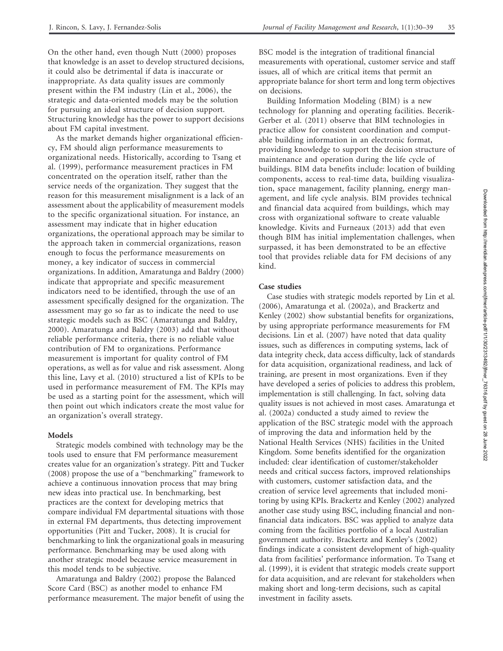On the other hand, even though Nutt (2000) proposes that knowledge is an asset to develop structured decisions, it could also be detrimental if data is inaccurate or inappropriate. As data quality issues are commonly present within the FM industry (Lin et al., 2006), the strategic and data-oriented models may be the solution for pursuing an ideal structure of decision support. Structuring knowledge has the power to support decisions about FM capital investment.

As the market demands higher organizational efficiency, FM should align performance measurements to organizational needs. Historically, according to Tsang et al. (1999), performance measurement practices in FM concentrated on the operation itself, rather than the service needs of the organization. They suggest that the reason for this measurement misalignment is a lack of an assessment about the applicability of measurement models to the specific organizational situation. For instance, an assessment may indicate that in higher education organizations, the operational approach may be similar to the approach taken in commercial organizations, reason enough to focus the performance measurements on money, a key indicator of success in commercial organizations. In addition, Amaratunga and Baldry (2000) indicate that appropriate and specific measurement indicators need to be identified, through the use of an assessment specifically designed for the organization. The assessment may go so far as to indicate the need to use strategic models such as BSC (Amaratunga and Baldry, 2000). Amaratunga and Baldry (2003) add that without reliable performance criteria, there is no reliable value contribution of FM to organizations. Performance measurement is important for quality control of FM operations, as well as for value and risk assessment. Along this line, Lavy et al. (2010) structured a list of KPIs to be used in performance measurement of FM. The KPIs may be used as a starting point for the assessment, which will then point out which indicators create the most value for an organization's overall strategy.

## Models

Strategic models combined with technology may be the tools used to ensure that FM performance measurement creates value for an organization's strategy. Pitt and Tucker (2008) propose the use of a ''benchmarking'' framework to achieve a continuous innovation process that may bring new ideas into practical use. In benchmarking, best practices are the context for developing metrics that compare individual FM departmental situations with those in external FM departments, thus detecting improvement opportunities (Pitt and Tucker, 2008). It is crucial for benchmarking to link the organizational goals in measuring performance. Benchmarking may be used along with another strategic model because service measurement in this model tends to be subjective.

Amaratunga and Baldry (2002) propose the Balanced Score Card (BSC) as another model to enhance FM performance measurement. The major benefit of using the BSC model is the integration of traditional financial measurements with operational, customer service and staff issues, all of which are critical items that permit an appropriate balance for short term and long term objectives on decisions.

Building Information Modeling (BIM) is a new technology for planning and operating facilities. Becerik-Gerber et al. (2011) observe that BIM technologies in practice allow for consistent coordination and computable building information in an electronic format, providing knowledge to support the decision structure of maintenance and operation during the life cycle of buildings. BIM data benefits include: location of building components, access to real-time data, building visualization, space management, facility planning, energy management, and life cycle analysis. BIM provides technical and financial data acquired from buildings, which may cross with organizational software to create valuable knowledge. Kivits and Furneaux (2013) add that even though BIM has initial implementation challenges, when surpassed, it has been demonstrated to be an effective tool that provides reliable data for FM decisions of any kind.

## Case studies

Case studies with strategic models reported by Lin et al. (2006), Amaratunga et al. (2002a), and Brackertz and Kenley (2002) show substantial benefits for organizations, by using appropriate performance measurements for FM decisions. Lin et al. (2007) have noted that data quality issues, such as differences in computing systems, lack of data integrity check, data access difficulty, lack of standards for data acquisition, organizational readiness, and lack of training, are present in most organizations. Even if they have developed a series of policies to address this problem, implementation is still challenging. In fact, solving data quality issues is not achieved in most cases. Amaratunga et al. (2002a) conducted a study aimed to review the application of the BSC strategic model with the approach of improving the data and information held by the National Health Services (NHS) facilities in the United Kingdom. Some benefits identified for the organization included: clear identification of customer/stakeholder needs and critical success factors, improved relationships with customers, customer satisfaction data, and the creation of service level agreements that included monitoring by using KPIs. Brackertz and Kenley (2002) analyzed another case study using BSC, including financial and nonfinancial data indicators. BSC was applied to analyze data coming from the facilities portfolio of a local Australian government authority. Brackertz and Kenley's (2002) findings indicate a consistent development of high-quality data from facilities' performance information. To Tsang et al. (1999), it is evident that strategic models create support for data acquisition, and are relevant for stakeholders when making short and long-term decisions, such as capital investment in facility assets.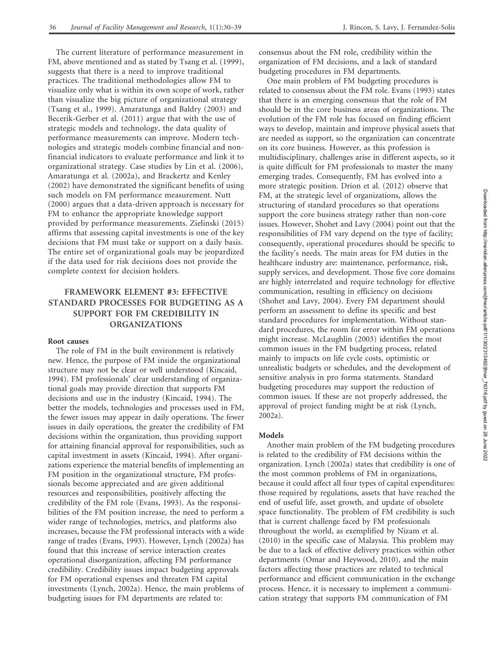The current literature of performance measurement in FM, above mentioned and as stated by Tsang et al. (1999), suggests that there is a need to improve traditional practices. The traditional methodologies allow FM to visualize only what is within its own scope of work, rather than visualize the big picture of organizational strategy (Tsang et al., 1999). Amaratunga and Baldry (2003) and Becerik-Gerber et al. (2011) argue that with the use of strategic models and technology, the data quality of performance measurements can improve. Modern technologies and strategic models combine financial and nonfinancial indicators to evaluate performance and link it to organizational strategy. Case studies by Lin et al. (2006), Amaratunga et al. (2002a), and Brackertz and Kenley (2002) have demonstrated the significant benefits of using such models on FM performance measurement. Nutt (2000) argues that a data-driven approach is necessary for FM to enhance the appropriate knowledge support provided by performance measurements. Zielinski (2015) affirms that assessing capital investments is one of the key decisions that FM must take or support on a daily basis. The entire set of organizational goals may be jeopardized if the data used for risk decisions does not provide the complete context for decision holders.

## FRAMEWORK ELEMENT #3: EFFECTIVE STANDARD PROCESSES FOR BUDGETING AS A SUPPORT FOR FM CREDIBILITY IN ORGANIZATIONS

## Root causes

The role of FM in the built environment is relatively new. Hence, the purpose of FM inside the organizational structure may not be clear or well understood (Kincaid, 1994). FM professionals' clear understanding of organizational goals may provide direction that supports FM decisions and use in the industry (Kincaid, 1994). The better the models, technologies and processes used in FM, the fewer issues may appear in daily operations. The fewer issues in daily operations, the greater the credibility of FM decisions within the organization, thus providing support for attaining financial approval for responsibilities, such as capital investment in assets (Kincaid, 1994). After organizations experience the material benefits of implementing an FM position in the organizational structure, FM professionals become appreciated and are given additional resources and responsibilities, positively affecting the credibility of the FM role (Evans, 1993). As the responsibilities of the FM position increase, the need to perform a wider range of technologies, metrics, and platforms also increases, because the FM professional interacts with a wide range of trades (Evans, 1993). However, Lynch (2002a) has found that this increase of service interaction creates operational disorganization, affecting FM performance credibility. Credibility issues impact budgeting approvals for FM operational expenses and threaten FM capital investments (Lynch, 2002a). Hence, the main problems of budgeting issues for FM departments are related to:

consensus about the FM role, credibility within the organization of FM decisions, and a lack of standard budgeting procedures in FM departments.

One main problem of FM budgeting procedures is related to consensus about the FM role. Evans (1993) states that there is an emerging consensus that the role of FM should be in the core business areas of organizations. The evolution of the FM role has focused on finding efficient ways to develop, maintain and improve physical assets that are needed as support, so the organization can concentrate on its core business. However, as this profession is multidisciplinary, challenges arise in different aspects, so it is quite difficult for FM professionals to master the many emerging trades. Consequently, FM has evolved into a more strategic position. Drion et al. (2012) observe that FM, at the strategic level of organizations, allows the structuring of standard procedures so that operations support the core business strategy rather than non-core issues. However, Shohet and Lavy (2004) point out that the responsibilities of FM vary depend on the type of facility; consequently, operational procedures should be specific to the facility's needs. The main areas for FM duties in the healthcare industry are: maintenance, performance, risk, supply services, and development. Those five core domains are highly interrelated and require technology for effective communication, resulting in efficiency on decisions (Shohet and Lavy, 2004). Every FM department should perform an assessment to define its specific and best standard procedures for implementation. Without standard procedures, the room for error within FM operations might increase. McLaughlin (2003) identifies the most common issues in the FM budgeting process, related mainly to impacts on life cycle costs, optimistic or unrealistic budgets or schedules, and the development of sensitive analysis in pro forma statements. Standard budgeting procedures may support the reduction of common issues. If these are not properly addressed, the approval of project funding might be at risk (Lynch, 2002a).

## Models

Another main problem of the FM budgeting procedures is related to the credibility of FM decisions within the organization. Lynch (2002a) states that credibility is one of the most common problems of FM in organizations, because it could affect all four types of capital expenditures: those required by regulations, assets that have reached the end of useful life, asset growth, and update of obsolete space functionality. The problem of FM credibility is such that is current challenge faced by FM professionals throughout the world, as exemplified by Nizam et al. (2010) in the specific case of Malaysia. This problem may be due to a lack of effective delivery practices within other departments (Omar and Heywood, 2010), and the main factors affecting those practices are related to technical performance and efficient communication in the exchange process. Hence, it is necessary to implement a communication strategy that supports FM communication of FM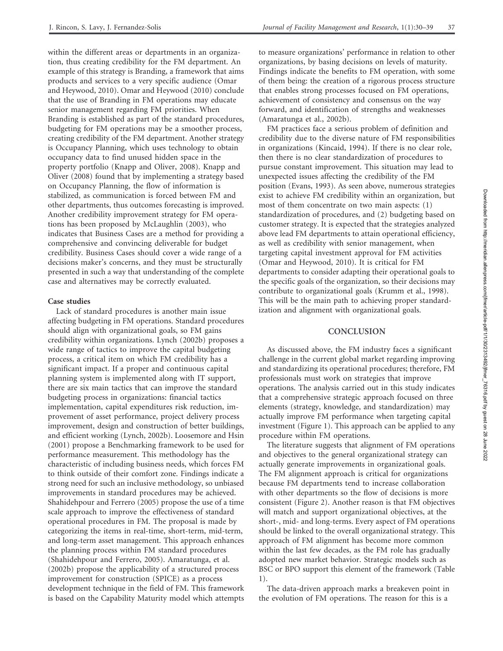within the different areas or departments in an organization, thus creating credibility for the FM department. An example of this strategy is Branding, a framework that aims products and services to a very specific audience (Omar and Heywood, 2010). Omar and Heywood (2010) conclude that the use of Branding in FM operations may educate senior management regarding FM priorities. When Branding is established as part of the standard procedures, budgeting for FM operations may be a smoother process, creating credibility of the FM department. Another strategy is Occupancy Planning, which uses technology to obtain occupancy data to find unused hidden space in the property portfolio (Knapp and Oliver, 2008). Knapp and Oliver (2008) found that by implementing a strategy based on Occupancy Planning, the flow of information is stabilized, as communication is forced between FM and other departments, thus outcomes forecasting is improved. Another credibility improvement strategy for FM operations has been proposed by McLaughlin (2003), who indicates that Business Cases are a method for providing a comprehensive and convincing deliverable for budget credibility. Business Cases should cover a wide range of a decisions maker's concerns, and they must be structurally presented in such a way that understanding of the complete case and alternatives may be correctly evaluated.

## Case studies

Lack of standard procedures is another main issue affecting budgeting in FM operations. Standard procedures should align with organizational goals, so FM gains credibility within organizations. Lynch (2002b) proposes a wide range of tactics to improve the capital budgeting process, a critical item on which FM credibility has a significant impact. If a proper and continuous capital planning system is implemented along with IT support, there are six main tactics that can improve the standard budgeting process in organizations: financial tactics implementation, capital expenditures risk reduction, improvement of asset performance, project delivery process improvement, design and construction of better buildings, and efficient working (Lynch, 2002b). Loosemore and Hsin (2001) propose a Benchmarking framework to be used for performance measurement. This methodology has the characteristic of including business needs, which forces FM to think outside of their comfort zone. Findings indicate a strong need for such an inclusive methodology, so unbiased improvements in standard procedures may be achieved. Shahidehpour and Ferrero (2005) propose the use of a time scale approach to improve the effectiveness of standard operational procedures in FM. The proposal is made by categorizing the items in real-time, short-term, mid-term, and long-term asset management. This approach enhances the planning process within FM standard procedures (Shahidehpour and Ferrero, 2005). Amaratunga, et al. (2002b) propose the applicability of a structured process improvement for construction (SPICE) as a process development technique in the field of FM. This framework is based on the Capability Maturity model which attempts

to measure organizations' performance in relation to other organizations, by basing decisions on levels of maturity. Findings indicate the benefits to FM operation, with some of them being: the creation of a rigorous process structure that enables strong processes focused on FM operations, achievement of consistency and consensus on the way forward, and identification of strengths and weaknesses (Amaratunga et al., 2002b).

FM practices face a serious problem of definition and credibility due to the diverse nature of FM responsibilities in organizations (Kincaid, 1994). If there is no clear role, then there is no clear standardization of procedures to pursue constant improvement. This situation may lead to unexpected issues affecting the credibility of the FM position (Evans, 1993). As seen above, numerous strategies exist to achieve FM credibility within an organization, but most of them concentrate on two main aspects: (1) standardization of procedures, and (2) budgeting based on customer strategy. It is expected that the strategies analyzed above lead FM departments to attain operational efficiency, as well as credibility with senior management, when targeting capital investment approval for FM activities (Omar and Heywood, 2010). It is critical for FM departments to consider adapting their operational goals to the specific goals of the organization, so their decisions may contribute to organizational goals (Krumm et al., 1998). This will be the main path to achieving proper standardization and alignment with organizational goals.

## **CONCLUSION**

As discussed above, the FM industry faces a significant challenge in the current global market regarding improving and standardizing its operational procedures; therefore, FM professionals must work on strategies that improve operations. The analysis carried out in this study indicates that a comprehensive strategic approach focused on three elements (strategy, knowledge, and standardization) may actually improve FM performance when targeting capital investment (Figure 1). This approach can be applied to any procedure within FM operations.

The literature suggests that alignment of FM operations and objectives to the general organizational strategy can actually generate improvements in organizational goals. The FM alignment approach is critical for organizations because FM departments tend to increase collaboration with other departments so the flow of decisions is more consistent (Figure 2). Another reason is that FM objectives will match and support organizational objectives, at the short-, mid- and long-terms. Every aspect of FM operations should be linked to the overall organizational strategy. This approach of FM alignment has become more common within the last few decades, as the FM role has gradually adopted new market behavior. Strategic models such as BSC or BPO support this element of the framework (Table 1).

The data-driven approach marks a breakeven point in the evolution of FM operations. The reason for this is a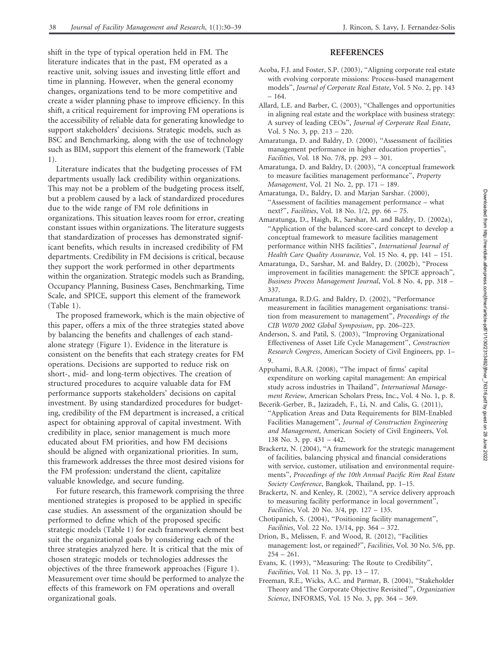shift in the type of typical operation held in FM. The literature indicates that in the past, FM operated as a reactive unit, solving issues and investing little effort and time in planning. However, when the general economy changes, organizations tend to be more competitive and create a wider planning phase to improve efficiency. In this shift, a critical requirement for improving FM operations is the accessibility of reliable data for generating knowledge to support stakeholders' decisions. Strategic models, such as BSC and Benchmarking, along with the use of technology such as BIM, support this element of the framework (Table 1).

Literature indicates that the budgeting processes of FM departments usually lack credibility within organizations. This may not be a problem of the budgeting process itself, but a problem caused by a lack of standardized procedures due to the wide range of FM role definitions in organizations. This situation leaves room for error, creating constant issues within organizations. The literature suggests that standardization of processes has demonstrated significant benefits, which results in increased credibility of FM departments. Credibility in FM decisions is critical, because they support the work performed in other departments within the organization. Strategic models such as Branding, Occupancy Planning, Business Cases, Benchmarking, Time Scale, and SPICE, support this element of the framework (Table 1).

The proposed framework, which is the main objective of this paper, offers a mix of the three strategies stated above by balancing the benefits and challenges of each standalone strategy (Figure 1). Evidence in the literature is consistent on the benefits that each strategy creates for FM operations. Decisions are supported to reduce risk on short-, mid- and long-term objectives. The creation of structured procedures to acquire valuable data for FM performance supports stakeholders' decisions on capital investment. By using standardized procedures for budgeting, credibility of the FM department is increased, a critical aspect for obtaining approval of capital investment. With credibility in place, senior management is much more educated about FM priorities, and how FM decisions should be aligned with organizational priorities. In sum, this framework addresses the three most desired visions for the FM profession: understand the client, capitalize valuable knowledge, and secure funding.

For future research, this framework comprising the three mentioned strategies is proposed to be applied in specific case studies. An assessment of the organization should be performed to define which of the proposed specific strategic models (Table 1) for each framework element best suit the organizational goals by considering each of the three strategies analyzed here. It is critical that the mix of chosen strategic models or technologies addresses the objectives of the three framework approaches (Figure 1). Measurement over time should be performed to analyze the effects of this framework on FM operations and overall organizational goals.

## REFERENCES

- Acoba, F.J. and Foster, S.P. (2003), ''Aligning corporate real estate with evolving corporate missions: Process-based management models'', Journal of Corporate Real Estate, Vol. 5 No. 2, pp. 143 – 164.
- Allard, L.E. and Barber, C. (2003), ''Challenges and opportunities in aligning real estate and the workplace with business strategy: A survey of leading CEOs'', Journal of Corporate Real Estate, Vol. 5 No. 3, pp. 213 – 220.
- Amaratunga, D. and Baldry, D. (2000), ''Assessment of facilities management performance in higher education properties'', Facilities, Vol. 18 No. 7/8, pp. 293 – 301.
- Amaratunga, D. and Baldry, D. (2003), ''A conceptual framework to measure facilities management performance'', Property Management, Vol. 21 No. 2, pp. 171 – 189.
- Amaratunga, D., Baldry, D. and Marjan Sarshar. (2000), ''Assessment of facilities management performance – what next?'', Facilities, Vol. 18 No. 1/2, pp. 66 – 75.
- Amaratunga, D., Haigh, R., Sarshar, M. and Baldry, D. (2002a), ''Application of the balanced score-card concept to develop a conceptual framework to measure facilities management performance within NHS facilities'', International Journal of Health Care Quality Assurance, Vol. 15 No. 4, pp. 141 – 151.
- Amaratunga, D., Sarshar, M. and Baldry, D. (2002b), ''Process improvement in facilities management: the SPICE approach'', Business Process Management Journal, Vol. 8 No. 4, pp. 318 – 337.
- Amaratunga, R.D.G. and Baldry, D. (2002), ''Performance measurement in facilities management organisations: transition from measurement to management'', Proceedings of the CIB W070 2002 Global Symposium, pp. 206–223.
- Anderson, S. and Patil, S. (2003), ''Improving Organizational Effectiveness of Asset Life Cycle Management'', Construction Research Congress, American Society of Civil Engineers, pp. 1– 9.
- Appuhami, B.A.R. (2008), ''The impact of firms' capital expenditure on working capital management: An empirical study across industries in Thailand'', International Management Review, American Scholars Press, Inc., Vol. 4 No. 1, p. 8.
- Becerik-Gerber, B., Jazizadeh, F., Li, N. and Calis, G. (2011), ''Application Areas and Data Requirements for BIM-Enabled Facilities Management'', Journal of Construction Engineering and Management, American Society of Civil Engineers, Vol. 138 No. 3, pp. 431 – 442.
- Brackertz, N. (2004), "A framework for the strategic management of facilities, balancing physical and financial considerations with service, customer, utilisation and environmental requirements'', Proceedings of the 10th Annual Pacific Rim Real Estate Society Conference, Bangkok, Thailand, pp. 1–15.
- Brackertz, N. and Kenley, R. (2002), ''A service delivery approach to measuring facility performance in local government'', Facilities, Vol. 20 No. 3/4, pp. 127 – 135.
- Chotipanich, S. (2004), ''Positioning facility management'', Facilities, Vol. 22 No. 13/14, pp. 364 – 372.
- Drion, B., Melissen, F. and Wood, R. (2012), ''Facilities management: lost, or regained?'', Facilities, Vol. 30 No. 5/6, pp. 254 – 261.
- Evans, K. (1993), ''Measuring: The Route to Credibility'', Facilities, Vol. 11 No. 3, pp. 13 – 17.
- Freeman, R.E., Wicks, A.C. and Parmar, B. (2004), ''Stakeholder Theory and 'The Corporate Objective Revisited''', Organization Science, INFORMS, Vol. 15 No. 3, pp. 364 – 369.